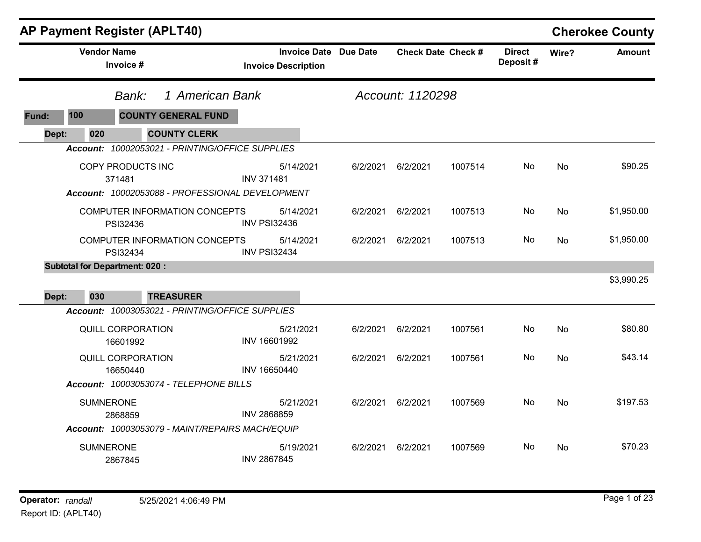|       |                          | <b>AP Payment Register (APLT40)</b>                                            |                                                     |          |                  |                           |                           |           | <b>Cherokee County</b> |
|-------|--------------------------|--------------------------------------------------------------------------------|-----------------------------------------------------|----------|------------------|---------------------------|---------------------------|-----------|------------------------|
|       |                          | <b>Vendor Name</b><br>Invoice #                                                | Invoice Date Due Date<br><b>Invoice Description</b> |          |                  | <b>Check Date Check #</b> | <b>Direct</b><br>Deposit# | Wire?     | <b>Amount</b>          |
|       | 1 American Bank<br>Bank: |                                                                                |                                                     |          | Account: 1120298 |                           |                           |           |                        |
| Fund: | 100                      | <b>COUNTY GENERAL FUND</b>                                                     |                                                     |          |                  |                           |                           |           |                        |
| Dept: | 020                      | <b>COUNTY CLERK</b>                                                            |                                                     |          |                  |                           |                           |           |                        |
|       |                          | Account: 10002053021 - PRINTING/OFFICE SUPPLIES                                |                                                     |          |                  |                           |                           |           |                        |
|       |                          | COPY PRODUCTS INC<br>371481<br>Account: 10002053088 - PROFESSIONAL DEVELOPMENT | 5/14/2021<br><b>INV 371481</b>                      | 6/2/2021 | 6/2/2021         | 1007514                   | No.                       | <b>No</b> | \$90.25                |
|       |                          | <b>COMPUTER INFORMATION CONCEPTS</b><br>PSI32436                               | 5/14/2021<br><b>INV PSI32436</b>                    | 6/2/2021 | 6/2/2021         | 1007513                   | No                        | <b>No</b> | \$1,950.00             |
|       |                          | <b>COMPUTER INFORMATION CONCEPTS</b><br>PSI32434                               | 5/14/2021<br><b>INV PSI32434</b>                    | 6/2/2021 | 6/2/2021         | 1007513                   | No                        | <b>No</b> | \$1,950.00             |
|       |                          | <b>Subtotal for Department: 020:</b>                                           |                                                     |          |                  |                           |                           |           |                        |
|       |                          |                                                                                |                                                     |          |                  |                           |                           |           | \$3,990.25             |
| Dept: | 030                      | <b>TREASURER</b>                                                               |                                                     |          |                  |                           |                           |           |                        |
|       |                          | Account: 10003053021 - PRINTING/OFFICE SUPPLIES                                |                                                     |          |                  |                           |                           |           |                        |
|       |                          | QUILL CORPORATION<br>16601992                                                  | 5/21/2021<br>INV 16601992                           | 6/2/2021 | 6/2/2021         | 1007561                   | No                        | <b>No</b> | \$80.80                |
|       |                          | <b>QUILL CORPORATION</b><br>16650440                                           | 5/21/2021<br>INV 16650440                           | 6/2/2021 | 6/2/2021         | 1007561                   | No.                       | <b>No</b> | \$43.14                |
|       |                          | Account: 10003053074 - TELEPHONE BILLS                                         |                                                     |          |                  |                           |                           |           |                        |
|       |                          | <b>SUMNERONE</b><br>2868859<br>Account: 10003053079 - MAINT/REPAIRS MACH/EQUIP | 5/21/2021<br><b>INV 2868859</b>                     | 6/2/2021 | 6/2/2021         | 1007569                   | No.                       | <b>No</b> | \$197.53               |
|       |                          | <b>SUMNERONE</b>                                                               | 5/19/2021                                           | 6/2/2021 | 6/2/2021         | 1007569                   | No                        | <b>No</b> | \$70.23                |
|       |                          | 2867845                                                                        | <b>INV 2867845</b>                                  |          |                  |                           |                           |           |                        |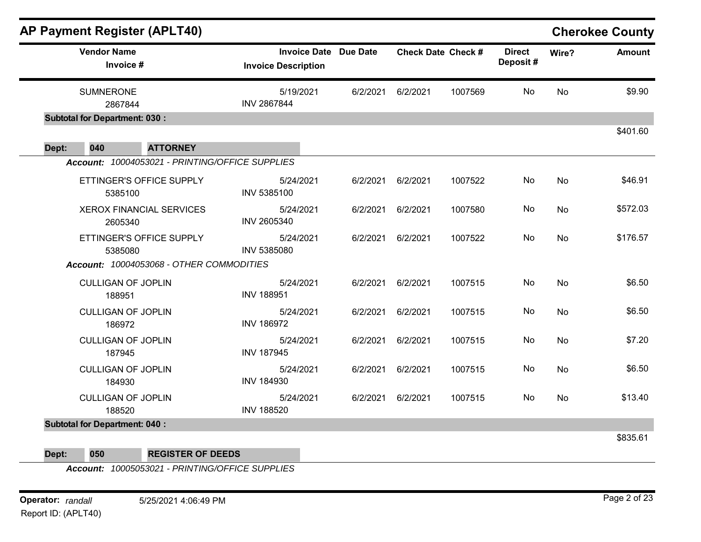|              | <b>AP Payment Register (APLT40)</b>             |                                                            |          |          |                           |                           |           | <b>Cherokee County</b> |
|--------------|-------------------------------------------------|------------------------------------------------------------|----------|----------|---------------------------|---------------------------|-----------|------------------------|
|              | <b>Vendor Name</b><br>Invoice #                 | <b>Invoice Date Due Date</b><br><b>Invoice Description</b> |          |          | <b>Check Date Check #</b> | <b>Direct</b><br>Deposit# | Wire?     | <b>Amount</b>          |
|              | <b>SUMNERONE</b>                                | 5/19/2021<br><b>INV 2867844</b>                            | 6/2/2021 | 6/2/2021 | 1007569                   | No                        | No        | \$9.90                 |
|              | 2867844<br><b>Subtotal for Department: 030:</b> |                                                            |          |          |                           |                           |           |                        |
|              |                                                 |                                                            |          |          |                           |                           |           | \$401.60               |
| 040<br>Dept: | <b>ATTORNEY</b>                                 |                                                            |          |          |                           |                           |           |                        |
|              | Account: 10004053021 - PRINTING/OFFICE SUPPLIES |                                                            |          |          |                           |                           |           |                        |
|              | ETTINGER'S OFFICE SUPPLY<br>5385100             | 5/24/2021<br>INV 5385100                                   | 6/2/2021 | 6/2/2021 | 1007522                   | No                        | No        | \$46.91                |
|              | <b>XEROX FINANCIAL SERVICES</b><br>2605340      | 5/24/2021<br>INV 2605340                                   | 6/2/2021 | 6/2/2021 | 1007580                   | No                        | No        | \$572.03               |
|              | ETTINGER'S OFFICE SUPPLY<br>5385080             | 5/24/2021<br>INV 5385080                                   | 6/2/2021 | 6/2/2021 | 1007522                   | No                        | <b>No</b> | \$176.57               |
|              | Account: 10004053068 - OTHER COMMODITIES        |                                                            |          |          |                           |                           |           |                        |
|              | <b>CULLIGAN OF JOPLIN</b><br>188951             | 5/24/2021<br><b>INV 188951</b>                             | 6/2/2021 | 6/2/2021 | 1007515                   | No                        | No        | \$6.50                 |
|              | <b>CULLIGAN OF JOPLIN</b><br>186972             | 5/24/2021<br><b>INV 186972</b>                             | 6/2/2021 | 6/2/2021 | 1007515                   | No                        | No        | \$6.50                 |
|              | <b>CULLIGAN OF JOPLIN</b><br>187945             | 5/24/2021<br><b>INV 187945</b>                             | 6/2/2021 | 6/2/2021 | 1007515                   | No                        | No        | \$7.20                 |
|              | <b>CULLIGAN OF JOPLIN</b><br>184930             | 5/24/2021<br><b>INV 184930</b>                             | 6/2/2021 | 6/2/2021 | 1007515                   | No                        | No        | \$6.50                 |
|              | <b>CULLIGAN OF JOPLIN</b><br>188520             | 5/24/2021<br><b>INV 188520</b>                             | 6/2/2021 | 6/2/2021 | 1007515                   | No                        | No        | \$13.40                |
|              | <b>Subtotal for Department: 040:</b>            |                                                            |          |          |                           |                           |           |                        |
|              |                                                 |                                                            |          |          |                           |                           |           | \$835.61               |

**Dept: 050 REGISTER OF DEEDS**

*Account: 10005053021 - PRINTING/OFFICE SUPPLIES*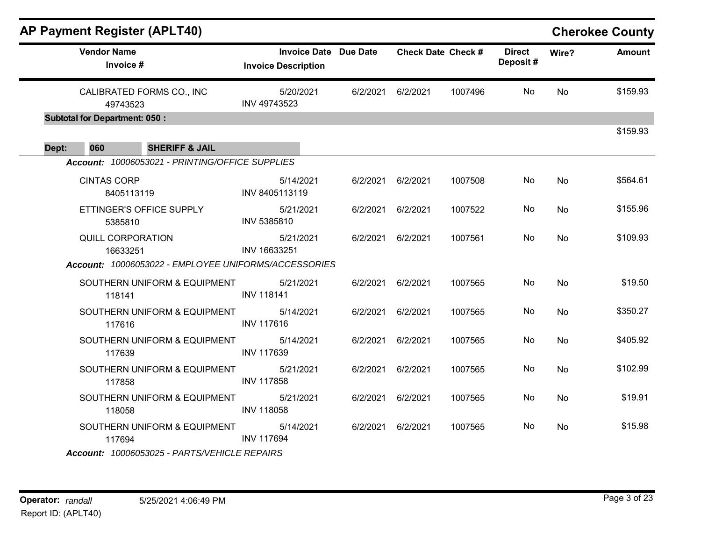|       | <b>AP Payment Register (APLT40)</b>  |                                                      |                                                     |          |                           |         |                           |           | <b>Cherokee County</b> |
|-------|--------------------------------------|------------------------------------------------------|-----------------------------------------------------|----------|---------------------------|---------|---------------------------|-----------|------------------------|
|       | <b>Vendor Name</b><br>Invoice #      |                                                      | Invoice Date Due Date<br><b>Invoice Description</b> |          | <b>Check Date Check #</b> |         | <b>Direct</b><br>Deposit# | Wire?     | <b>Amount</b>          |
|       | 49743523                             | CALIBRATED FORMS CO., INC                            | 5/20/2021<br>INV 49743523                           |          | 6/2/2021 6/2/2021         | 1007496 | No                        | <b>No</b> | \$159.93               |
|       | <b>Subtotal for Department: 050:</b> |                                                      |                                                     |          |                           |         |                           |           |                        |
| Dept: | 060<br><b>SHERIFF &amp; JAIL</b>     |                                                      |                                                     |          |                           |         |                           |           | \$159.93               |
|       |                                      | Account: 10006053021 - PRINTING/OFFICE SUPPLIES      |                                                     |          |                           |         |                           |           |                        |
|       | <b>CINTAS CORP</b><br>8405113119     |                                                      | 5/14/2021<br>INV 8405113119                         | 6/2/2021 | 6/2/2021                  | 1007508 | No                        | No        | \$564.61               |
|       | 5385810                              | ETTINGER'S OFFICE SUPPLY                             | 5/21/2021<br>INV 5385810                            |          | 6/2/2021 6/2/2021         | 1007522 | No.                       | No        | \$155.96               |
|       | <b>QUILL CORPORATION</b><br>16633251 |                                                      | 5/21/2021<br>INV 16633251                           | 6/2/2021 | 6/2/2021                  | 1007561 | No                        | No        | \$109.93               |
|       |                                      | Account: 10006053022 - EMPLOYEE UNIFORMS/ACCESSORIES |                                                     |          |                           |         |                           |           |                        |
|       | 118141                               | SOUTHERN UNIFORM & EQUIPMENT                         | 5/21/2021<br><b>INV 118141</b>                      |          | 6/2/2021 6/2/2021         | 1007565 | No                        | No        | \$19.50                |
|       | 117616                               | SOUTHERN UNIFORM & EQUIPMENT                         | 5/14/2021<br><b>INV 117616</b>                      |          | 6/2/2021 6/2/2021         | 1007565 | No                        | <b>No</b> | \$350.27               |
|       | 117639                               | SOUTHERN UNIFORM & EQUIPMENT                         | 5/14/2021<br><b>INV 117639</b>                      |          | 6/2/2021 6/2/2021         | 1007565 | No                        | <b>No</b> | \$405.92               |
|       | 117858                               | SOUTHERN UNIFORM & EQUIPMENT                         | 5/21/2021<br><b>INV 117858</b>                      |          | 6/2/2021 6/2/2021         | 1007565 | No                        | No        | \$102.99               |
|       | 118058                               | SOUTHERN UNIFORM & EQUIPMENT                         | 5/21/2021<br><b>INV 118058</b>                      | 6/2/2021 | 6/2/2021                  | 1007565 | No                        | No        | \$19.91                |
|       | 117694                               | SOUTHERN UNIFORM & EQUIPMENT                         | 5/14/2021<br><b>INV 117694</b>                      |          | 6/2/2021 6/2/2021         | 1007565 | No                        | No        | \$15.98                |
|       |                                      | Account: 10006053025 - PARTS/VEHICLE REPAIRS         |                                                     |          |                           |         |                           |           |                        |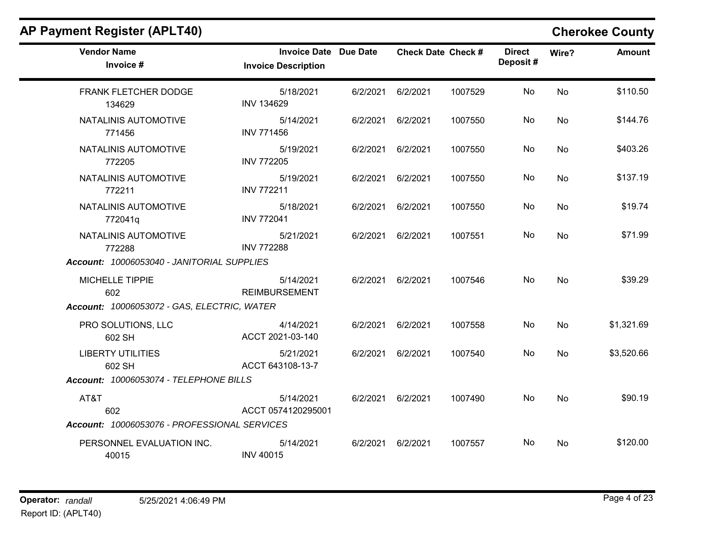| <b>Vendor Name</b><br>Invoice #                             | <b>Invoice Date Due Date</b><br><b>Invoice Description</b> |                   | <b>Check Date Check #</b> | <b>Direct</b><br>Deposit# | Wire?     | Amount     |
|-------------------------------------------------------------|------------------------------------------------------------|-------------------|---------------------------|---------------------------|-----------|------------|
| FRANK FLETCHER DODGE<br>134629                              | 5/18/2021<br><b>INV 134629</b>                             | 6/2/2021 6/2/2021 | 1007529                   | No                        | No        | \$110.50   |
| NATALINIS AUTOMOTIVE<br>771456                              | 5/14/2021<br><b>INV 771456</b>                             | 6/2/2021 6/2/2021 | 1007550                   | No                        | No        | \$144.76   |
| NATALINIS AUTOMOTIVE<br>772205                              | 5/19/2021<br><b>INV 772205</b>                             | 6/2/2021 6/2/2021 | 1007550                   | No.                       | No        | \$403.26   |
| NATALINIS AUTOMOTIVE<br>772211                              | 5/19/2021<br><b>INV 772211</b>                             | 6/2/2021 6/2/2021 | 1007550                   | No                        | <b>No</b> | \$137.19   |
| NATALINIS AUTOMOTIVE<br>772041q                             | 5/18/2021<br><b>INV 772041</b>                             | 6/2/2021 6/2/2021 | 1007550                   | No.                       | No        | \$19.74    |
| NATALINIS AUTOMOTIVE<br>772288                              | 5/21/2021<br><b>INV 772288</b>                             | 6/2/2021 6/2/2021 | 1007551                   | No                        | <b>No</b> | \$71.99    |
| Account: 10006053040 - JANITORIAL SUPPLIES                  |                                                            |                   |                           |                           |           |            |
| MICHELLE TIPPIE<br>602                                      | 5/14/2021<br><b>REIMBURSEMENT</b>                          | 6/2/2021 6/2/2021 | 1007546                   | No.                       | <b>No</b> | \$39.29    |
| Account: 10006053072 - GAS, ELECTRIC, WATER                 |                                                            |                   |                           |                           |           |            |
| PRO SOLUTIONS, LLC<br>602 SH                                | 4/14/2021<br>ACCT 2021-03-140                              | 6/2/2021 6/2/2021 | 1007558                   | No                        | No        | \$1,321.69 |
| <b>LIBERTY UTILITIES</b><br>602 SH                          | 5/21/2021<br>ACCT 643108-13-7                              | 6/2/2021 6/2/2021 | 1007540                   | No.                       | No        | \$3,520.66 |
| Account: 10006053074 - TELEPHONE BILLS                      |                                                            |                   |                           |                           |           |            |
| AT&T<br>602<br>Account: 10006053076 - PROFESSIONAL SERVICES | 5/14/2021<br>ACCT 0574120295001                            | 6/2/2021 6/2/2021 | 1007490                   | No                        | No        | \$90.19    |
| PERSONNEL EVALUATION INC.<br>40015                          | 5/14/2021<br><b>INV 40015</b>                              | 6/2/2021 6/2/2021 | 1007557                   | No                        | No        | \$120.00   |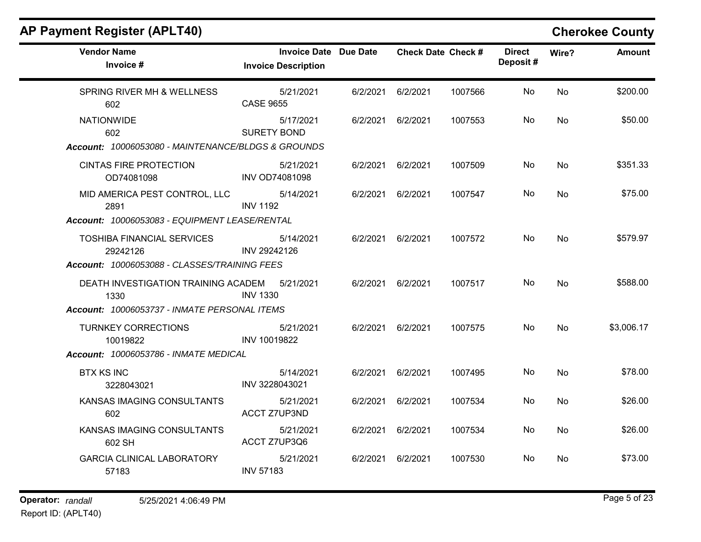| <b>Vendor Name</b><br>Invoice #                                                               | <b>Invoice Date Due Date</b><br><b>Invoice Description</b> |                   | <b>Check Date Check #</b> |         | <b>Direct</b><br>Deposit# | Wire?     | <b>Amount</b> |
|-----------------------------------------------------------------------------------------------|------------------------------------------------------------|-------------------|---------------------------|---------|---------------------------|-----------|---------------|
| SPRING RIVER MH & WELLNESS<br>602                                                             | 5/21/2021<br><b>CASE 9655</b>                              | 6/2/2021          | 6/2/2021                  | 1007566 | No                        | No        | \$200.00      |
| <b>NATIONWIDE</b><br>602<br>Account: 10006053080 - MAINTENANCE/BLDGS & GROUNDS                | 5/17/2021<br><b>SURETY BOND</b>                            | 6/2/2021 6/2/2021 |                           | 1007553 | No                        | No        | \$50.00       |
| <b>CINTAS FIRE PROTECTION</b><br>OD74081098                                                   | 5/21/2021<br><b>INV OD74081098</b>                         | 6/2/2021 6/2/2021 |                           | 1007509 | No.                       | No        | \$351.33      |
| MID AMERICA PEST CONTROL, LLC<br>2891<br>Account: 10006053083 - EQUIPMENT LEASE/RENTAL        | 5/14/2021<br><b>INV 1192</b>                               | 6/2/2021 6/2/2021 |                           | 1007547 | No.                       | No.       | \$75.00       |
| <b>TOSHIBA FINANCIAL SERVICES</b><br>29242126<br>Account: 10006053088 - CLASSES/TRAINING FEES | 5/14/2021<br>INV 29242126                                  | 6/2/2021 6/2/2021 |                           | 1007572 | No.                       | <b>No</b> | \$579.97      |
| DEATH INVESTIGATION TRAINING ACADEM<br>1330<br>Account: 10006053737 - INMATE PERSONAL ITEMS   | 5/21/2021<br><b>INV 1330</b>                               | 6/2/2021 6/2/2021 |                           | 1007517 | No                        | No        | \$588.00      |
| <b>TURNKEY CORRECTIONS</b><br>10019822<br>Account: 10006053786 - INMATE MEDICAL               | 5/21/2021<br>INV 10019822                                  | 6/2/2021 6/2/2021 |                           | 1007575 | No.                       | <b>No</b> | \$3,006.17    |
| <b>BTX KS INC</b><br>3228043021                                                               | 5/14/2021<br>INV 3228043021                                | 6/2/2021 6/2/2021 |                           | 1007495 | No                        | No        | \$78.00       |
| KANSAS IMAGING CONSULTANTS<br>602                                                             | 5/21/2021<br><b>ACCT Z7UP3ND</b>                           | 6/2/2021 6/2/2021 |                           | 1007534 | No.                       | No.       | \$26.00       |
| KANSAS IMAGING CONSULTANTS<br>602 SH                                                          | 5/21/2021<br>ACCT Z7UP3Q6                                  | 6/2/2021 6/2/2021 |                           | 1007534 | No                        | No        | \$26.00       |
| <b>GARCIA CLINICAL LABORATORY</b><br>57183                                                    | 5/21/2021<br><b>INV 57183</b>                              | 6/2/2021 6/2/2021 |                           | 1007530 | No.                       | No        | \$73.00       |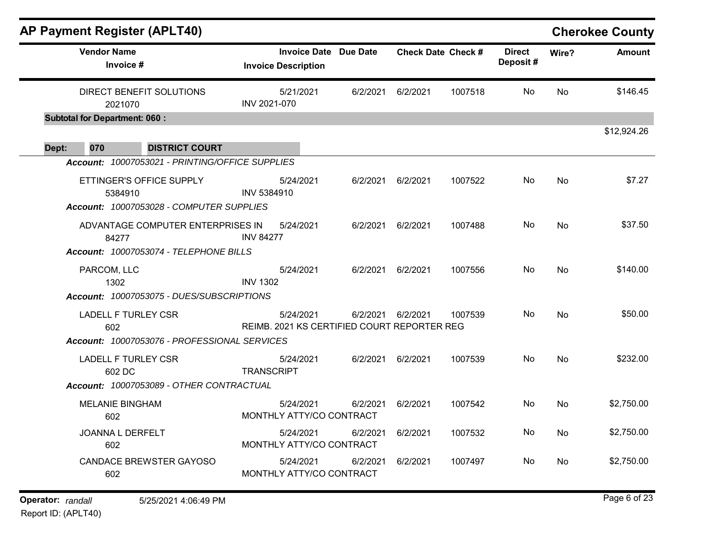|                                |                                                                                                                                                                                                                                                                                                                     |                                                                                                                  |                      |                                                                          |       | <b>Cherokee County</b> |
|--------------------------------|---------------------------------------------------------------------------------------------------------------------------------------------------------------------------------------------------------------------------------------------------------------------------------------------------------------------|------------------------------------------------------------------------------------------------------------------|----------------------|--------------------------------------------------------------------------|-------|------------------------|
| <b>Invoice Description</b>     |                                                                                                                                                                                                                                                                                                                     |                                                                                                                  |                      | <b>Direct</b><br>Deposit#                                                | Wire? | <b>Amount</b>          |
| 5/21/2021<br>INV 2021-070      | 6/2/2021                                                                                                                                                                                                                                                                                                            | 6/2/2021                                                                                                         | 1007518              | No.                                                                      | No    | \$146.45               |
|                                |                                                                                                                                                                                                                                                                                                                     |                                                                                                                  |                      |                                                                          |       |                        |
|                                |                                                                                                                                                                                                                                                                                                                     |                                                                                                                  |                      |                                                                          |       | \$12,924.26            |
| 5/24/2021<br>INV 5384910       | 6/2/2021                                                                                                                                                                                                                                                                                                            | 6/2/2021                                                                                                         | 1007522              | No.                                                                      | No    | \$7.27                 |
| 5/24/2021<br><b>INV 84277</b>  | 6/2/2021                                                                                                                                                                                                                                                                                                            | 6/2/2021                                                                                                         | 1007488              | No                                                                       | No    | \$37.50                |
| 5/24/2021<br><b>INV 1302</b>   |                                                                                                                                                                                                                                                                                                                     | 6/2/2021                                                                                                         | 1007556              | No                                                                       | No    | \$140.00               |
| 5/24/2021                      | 6/2/2021                                                                                                                                                                                                                                                                                                            | 6/2/2021                                                                                                         | 1007539              | No.                                                                      | No    | \$50.00                |
| 5/24/2021<br><b>TRANSCRIPT</b> |                                                                                                                                                                                                                                                                                                                     | 6/2/2021                                                                                                         | 1007539              | No.                                                                      | No    | \$232.00               |
| 5/24/2021                      | 6/2/2021                                                                                                                                                                                                                                                                                                            | 6/2/2021                                                                                                         | 1007542              | No.                                                                      | No    | \$2,750.00             |
| 5/24/2021                      | 6/2/2021                                                                                                                                                                                                                                                                                                            | 6/2/2021                                                                                                         | 1007532              | No                                                                       | No    | \$2,750.00             |
| 5/24/2021                      | 6/2/2021                                                                                                                                                                                                                                                                                                            | 6/2/2021                                                                                                         | 1007497              | No                                                                       | No    | \$2,750.00             |
|                                | Account: 10007053021 - PRINTING/OFFICE SUPPLIES<br>Account: 10007053028 - COMPUTER SUPPLIES<br>ADVANTAGE COMPUTER ENTERPRISES IN<br>Account: 10007053074 - TELEPHONE BILLS<br>Account: 10007053075 - DUES/SUBSCRIPTIONS<br>Account: 10007053076 - PROFESSIONAL SERVICES<br>Account: 10007053089 - OTHER CONTRACTUAL | <b>Invoice Date Due Date</b><br>MONTHLY ATTY/CO CONTRACT<br>MONTHLY ATTY/CO CONTRACT<br>MONTHLY ATTY/CO CONTRACT | 6/2/2021<br>6/2/2021 | <b>Check Date Check #</b><br>REIMB. 2021 KS CERTIFIED COURT REPORTER REG |       |                        |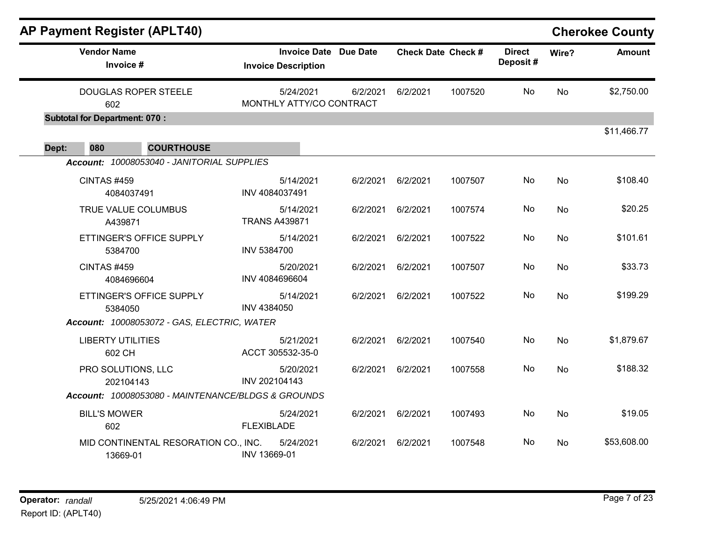|       |                                      | <b>AP Payment Register (APLT40)</b>                |                                                            |          |                           |         |                           |       | <b>Cherokee County</b> |
|-------|--------------------------------------|----------------------------------------------------|------------------------------------------------------------|----------|---------------------------|---------|---------------------------|-------|------------------------|
|       | <b>Vendor Name</b><br>Invoice #      |                                                    | <b>Invoice Date Due Date</b><br><b>Invoice Description</b> |          | <b>Check Date Check #</b> |         | <b>Direct</b><br>Deposit# | Wire? | <b>Amount</b>          |
|       | 602                                  | <b>DOUGLAS ROPER STEELE</b>                        | 5/24/2021<br>MONTHLY ATTY/CO CONTRACT                      | 6/2/2021 | 6/2/2021                  | 1007520 | No                        | No    | \$2,750.00             |
|       | <b>Subtotal for Department: 070:</b> |                                                    |                                                            |          |                           |         |                           |       |                        |
| Dept: | 080                                  | <b>COURTHOUSE</b>                                  |                                                            |          |                           |         |                           |       | \$11,466.77            |
|       |                                      | Account: 10008053040 - JANITORIAL SUPPLIES         |                                                            |          |                           |         |                           |       |                        |
|       | CINTAS #459                          | 4084037491                                         | 5/14/2021<br>INV 4084037491                                | 6/2/2021 | 6/2/2021                  | 1007507 | No                        | No    | \$108.40               |
|       | A439871                              | TRUE VALUE COLUMBUS                                | 5/14/2021<br><b>TRANS A439871</b>                          | 6/2/2021 | 6/2/2021                  | 1007574 | No                        | No    | \$20.25                |
|       | 5384700                              | ETTINGER'S OFFICE SUPPLY                           | 5/14/2021<br>INV 5384700                                   | 6/2/2021 | 6/2/2021                  | 1007522 | No                        | No    | \$101.61               |
|       | CINTAS #459                          | 4084696604                                         | 5/20/2021<br>INV 4084696604                                | 6/2/2021 | 6/2/2021                  | 1007507 | No                        | No    | \$33.73                |
|       | 5384050                              | ETTINGER'S OFFICE SUPPLY                           | 5/14/2021<br>INV 4384050                                   | 6/2/2021 | 6/2/2021                  | 1007522 | No                        | No    | \$199.29               |
|       |                                      | Account: 10008053072 - GAS, ELECTRIC, WATER        |                                                            |          |                           |         |                           |       |                        |
|       | <b>LIBERTY UTILITIES</b><br>602 CH   |                                                    | 5/21/2021<br>ACCT 305532-35-0                              | 6/2/2021 | 6/2/2021                  | 1007540 | No                        | No    | \$1,879.67             |
|       | PRO SOLUTIONS, LLC<br>202104143      |                                                    | 5/20/2021<br>INV 202104143                                 | 6/2/2021 | 6/2/2021                  | 1007558 | No                        | No    | \$188.32               |
|       |                                      | Account: 10008053080 - MAINTENANCE/BLDGS & GROUNDS |                                                            |          |                           |         |                           |       |                        |
|       | <b>BILL'S MOWER</b><br>602           |                                                    | 5/24/2021<br><b>FLEXIBLADE</b>                             | 6/2/2021 | 6/2/2021                  | 1007493 | No                        | No    | \$19.05                |
|       | 13669-01                             | MID CONTINENTAL RESORATION CO., INC.               | 5/24/2021<br>INV 13669-01                                  | 6/2/2021 | 6/2/2021                  | 1007548 | No                        | No    | \$53,608.00            |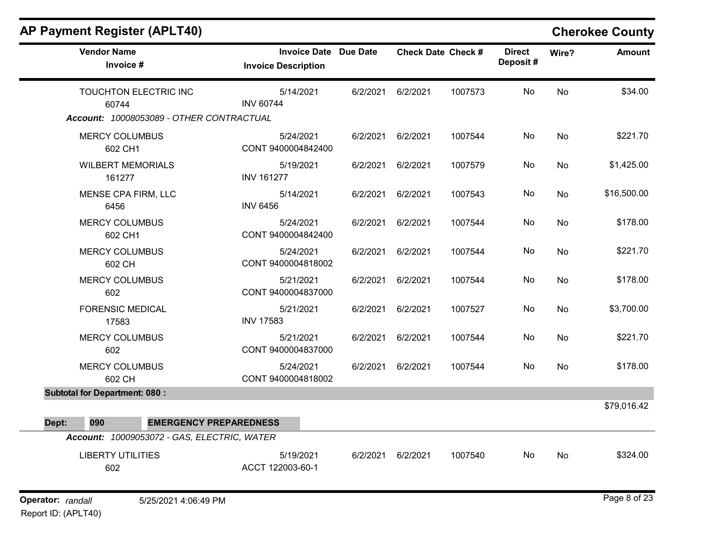| <b>AP Payment Register (APLT40)</b>           |                                                            |          |                   |                           |                           |       | <b>Cherokee County</b> |
|-----------------------------------------------|------------------------------------------------------------|----------|-------------------|---------------------------|---------------------------|-------|------------------------|
| <b>Vendor Name</b><br>Invoice #               | <b>Invoice Date Due Date</b><br><b>Invoice Description</b> |          |                   | <b>Check Date Check #</b> | <b>Direct</b><br>Deposit# | Wire? | <b>Amount</b>          |
| TOUCHTON ELECTRIC INC<br>60744                | 5/14/2021<br><b>INV 60744</b>                              | 6/2/2021 | 6/2/2021          | 1007573                   | No                        | No    | \$34.00                |
| Account: 10008053089 - OTHER CONTRACTUAL      |                                                            |          |                   |                           |                           |       |                        |
| <b>MERCY COLUMBUS</b><br>602 CH1              | 5/24/2021<br>CONT 9400004842400                            | 6/2/2021 | 6/2/2021          | 1007544                   | No                        | No    | \$221.70               |
| <b>WILBERT MEMORIALS</b><br>161277            | 5/19/2021<br><b>INV 161277</b>                             | 6/2/2021 | 6/2/2021          | 1007579                   | No                        | No    | \$1,425.00             |
| MENSE CPA FIRM, LLC<br>6456                   | 5/14/2021<br><b>INV 6456</b>                               | 6/2/2021 | 6/2/2021          | 1007543                   | No                        | No    | \$16,500.00            |
| <b>MERCY COLUMBUS</b><br>602 CH1              | 5/24/2021<br>CONT 9400004842400                            | 6/2/2021 | 6/2/2021          | 1007544                   | No                        | No    | \$178.00               |
| <b>MERCY COLUMBUS</b><br>602 CH               | 5/24/2021<br>CONT 9400004818002                            | 6/2/2021 | 6/2/2021          | 1007544                   | No                        | No    | \$221.70               |
| <b>MERCY COLUMBUS</b><br>602                  | 5/21/2021<br>CONT 9400004837000                            | 6/2/2021 | 6/2/2021          | 1007544                   | No                        | No    | \$178.00               |
| <b>FORENSIC MEDICAL</b><br>17583              | 5/21/2021<br><b>INV 17583</b>                              | 6/2/2021 | 6/2/2021          | 1007527                   | No                        | No    | \$3,700.00             |
| <b>MERCY COLUMBUS</b><br>602                  | 5/21/2021<br>CONT 9400004837000                            | 6/2/2021 | 6/2/2021          | 1007544                   | No                        | No    | \$221.70               |
| <b>MERCY COLUMBUS</b><br>602 CH               | 5/24/2021<br>CONT 9400004818002                            | 6/2/2021 | 6/2/2021          | 1007544                   | No                        | No    | \$178.00               |
| <b>Subtotal for Department: 080:</b>          |                                                            |          |                   |                           |                           |       |                        |
|                                               |                                                            |          |                   |                           |                           |       | \$79,016.42            |
| 090<br><b>EMERGENCY PREPAREDNESS</b><br>Dept: |                                                            |          |                   |                           |                           |       |                        |
| Account: 10009053072 - GAS, ELECTRIC, WATER   |                                                            |          |                   |                           |                           |       |                        |
| <b>LIBERTY UTILITIES</b><br>602               | 5/19/2021<br>ACCT 122003-60-1                              |          | 6/2/2021 6/2/2021 | 1007540                   | No                        | No    | \$324.00               |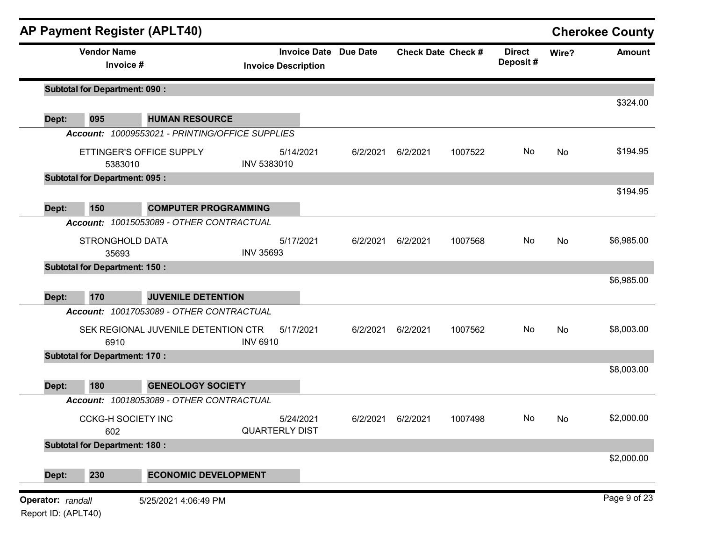|       | <b>Vendor Name</b>                   |                                                 |                  | <b>Invoice Date</b>                | Due Date |          | <b>Check Date Check #</b> | <b>Direct</b> | Wire? | <b>Cherokee County</b><br><b>Amount</b> |
|-------|--------------------------------------|-------------------------------------------------|------------------|------------------------------------|----------|----------|---------------------------|---------------|-------|-----------------------------------------|
|       | Invoice #                            |                                                 |                  | <b>Invoice Description</b>         |          |          |                           | Deposit#      |       |                                         |
|       | <b>Subtotal for Department: 090:</b> |                                                 |                  |                                    |          |          |                           |               |       |                                         |
| Dept: | 095                                  | <b>HUMAN RESOURCE</b>                           |                  |                                    |          |          |                           |               |       | \$324.00                                |
|       |                                      | Account: 10009553021 - PRINTING/OFFICE SUPPLIES |                  |                                    |          |          |                           |               |       |                                         |
|       | 5383010                              | ETTINGER'S OFFICE SUPPLY                        | INV 5383010      | 5/14/2021                          | 6/2/2021 | 6/2/2021 | 1007522                   | No            | No    | \$194.95                                |
|       | <b>Subtotal for Department: 095:</b> |                                                 |                  |                                    |          |          |                           |               |       |                                         |
|       |                                      |                                                 |                  |                                    |          |          |                           |               |       | \$194.95                                |
| Dept: | 150                                  | <b>COMPUTER PROGRAMMING</b>                     |                  |                                    |          |          |                           |               |       |                                         |
|       | STRONGHOLD DATA                      | Account: 10015053089 - OTHER CONTRACTUAL        |                  | 5/17/2021                          | 6/2/2021 | 6/2/2021 | 1007568                   | No            | No    | \$6,985.00                              |
|       | 35693                                |                                                 | <b>INV 35693</b> |                                    |          |          |                           |               |       |                                         |
|       | <b>Subtotal for Department: 150:</b> |                                                 |                  |                                    |          |          |                           |               |       |                                         |
|       |                                      |                                                 |                  |                                    |          |          |                           |               |       | \$6,985.00                              |
| Dept: | 170                                  | <b>JUVENILE DETENTION</b>                       |                  |                                    |          |          |                           |               |       |                                         |
|       |                                      | Account: 10017053089 - OTHER CONTRACTUAL        |                  |                                    |          |          |                           |               |       |                                         |
|       | 6910                                 | SEK REGIONAL JUVENILE DETENTION CTR             | <b>INV 6910</b>  | 5/17/2021                          | 6/2/2021 | 6/2/2021 | 1007562                   | No            | No    | \$8,003.00                              |
|       | <b>Subtotal for Department: 170:</b> |                                                 |                  |                                    |          |          |                           |               |       |                                         |
|       |                                      |                                                 |                  |                                    |          |          |                           |               |       | \$8,003.00                              |
| Dept: | 180                                  | <b>GENEOLOGY SOCIETY</b>                        |                  |                                    |          |          |                           |               |       |                                         |
|       |                                      | Account: 10018053089 - OTHER CONTRACTUAL        |                  |                                    |          |          |                           |               |       |                                         |
|       | <b>CCKG-H SOCIETY INC</b><br>602     |                                                 |                  | 5/24/2021<br><b>QUARTERLY DIST</b> | 6/2/2021 | 6/2/2021 | 1007498                   | No            | No.   | \$2,000.00                              |
|       | <b>Subtotal for Department: 180:</b> |                                                 |                  |                                    |          |          |                           |               |       |                                         |
|       |                                      |                                                 |                  |                                    |          |          |                           |               |       | \$2,000.00                              |
| Dept: | 230                                  | <b>ECONOMIC DEVELOPMENT</b>                     |                  |                                    |          |          |                           |               |       |                                         |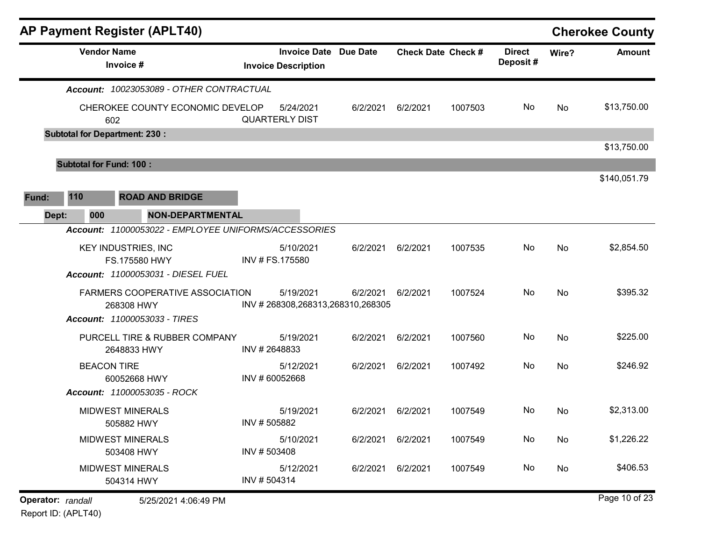| <b>AP Payment Register (APLT40)</b>                  |               |                                                            |                   |                           |         |                           |       | <b>Cherokee County</b> |
|------------------------------------------------------|---------------|------------------------------------------------------------|-------------------|---------------------------|---------|---------------------------|-------|------------------------|
| <b>Vendor Name</b><br>Invoice #                      |               | <b>Invoice Date Due Date</b><br><b>Invoice Description</b> |                   | <b>Check Date Check #</b> |         | <b>Direct</b><br>Deposit# | Wire? | <b>Amount</b>          |
| Account: 10023053089 - OTHER CONTRACTUAL             |               |                                                            |                   |                           |         |                           |       |                        |
| CHEROKEE COUNTY ECONOMIC DEVELOP<br>602              |               | 5/24/2021<br><b>QUARTERLY DIST</b>                         | 6/2/2021          | 6/2/2021                  | 1007503 | No                        | No    | \$13,750.00            |
| <b>Subtotal for Department: 230:</b>                 |               |                                                            |                   |                           |         |                           |       |                        |
|                                                      |               |                                                            |                   |                           |         |                           |       | \$13,750.00            |
| <b>Subtotal for Fund: 100:</b>                       |               |                                                            |                   |                           |         |                           |       |                        |
|                                                      |               |                                                            |                   |                           |         |                           |       | \$140,051.79           |
| 110<br><b>ROAD AND BRIDGE</b><br>Fund:               |               |                                                            |                   |                           |         |                           |       |                        |
| <b>NON-DEPARTMENTAL</b><br>Dept:<br>000              |               |                                                            |                   |                           |         |                           |       |                        |
| Account: 11000053022 - EMPLOYEE UNIFORMS/ACCESSORIES |               |                                                            |                   |                           |         |                           |       |                        |
| <b>KEY INDUSTRIES, INC</b>                           |               | 5/10/2021                                                  | 6/2/2021          | 6/2/2021                  | 1007535 | No                        | No    | \$2,854.50             |
| FS.175580 HWY<br>Account: 11000053031 - DIESEL FUEL  |               | INV # FS.175580                                            |                   |                           |         |                           |       |                        |
|                                                      |               |                                                            |                   |                           |         |                           |       |                        |
| FARMERS COOPERATIVE ASSOCIATION<br>268308 HWY        |               | 5/19/2021<br>INV #268308,268313,268310,268305              | 6/2/2021          | 6/2/2021                  | 1007524 | No                        | No    | \$395.32               |
| Account: 11000053033 - TIRES                         |               |                                                            |                   |                           |         |                           |       |                        |
| PURCELL TIRE & RUBBER COMPANY                        |               | 5/19/2021                                                  | 6/2/2021          | 6/2/2021                  | 1007560 | No                        | No    | \$225.00               |
| 2648833 HWY                                          | INV #2648833  |                                                            |                   |                           |         |                           |       |                        |
| <b>BEACON TIRE</b>                                   |               | 5/12/2021                                                  | 6/2/2021          | 6/2/2021                  | 1007492 | No                        | No    | \$246.92               |
| 60052668 HWY<br>Account: 11000053035 - ROCK          | INV #60052668 |                                                            |                   |                           |         |                           |       |                        |
|                                                      |               |                                                            |                   |                           |         |                           |       |                        |
| <b>MIDWEST MINERALS</b><br>505882 HWY                | INV #505882   | 5/19/2021                                                  | 6/2/2021          | 6/2/2021                  | 1007549 | No                        | No    | \$2,313.00             |
| <b>MIDWEST MINERALS</b>                              |               | 5/10/2021                                                  | 6/2/2021 6/2/2021 |                           | 1007549 | No                        | No    | \$1,226.22             |
| 503408 HWY                                           | INV #503408   |                                                            |                   |                           |         |                           |       |                        |
| <b>MIDWEST MINERALS</b>                              |               | 5/12/2021                                                  | 6/2/2021          | 6/2/2021                  | 1007549 | No                        | No    | \$406.53               |
| 504314 HWY                                           | INV #504314   |                                                            |                   |                           |         |                           |       |                        |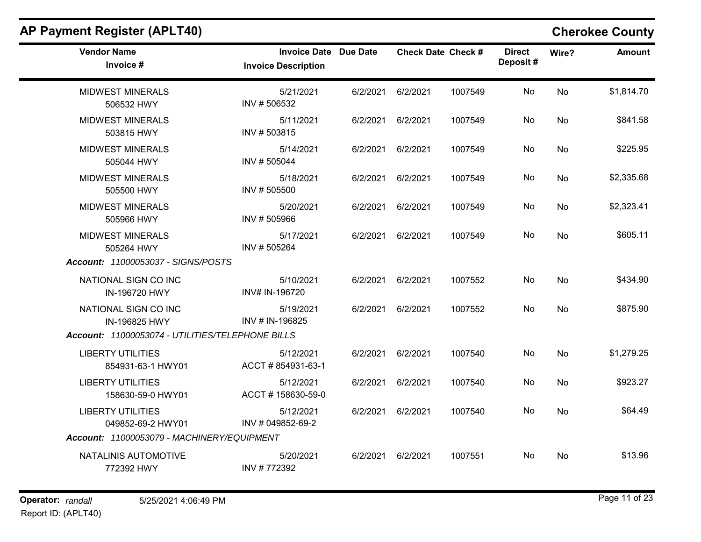| <b>Vendor Name</b><br>Invoice #                                             | Invoice Date Due Date<br><b>Invoice Description</b> |                   | <b>Check Date Check #</b> |         | <b>Direct</b><br>Deposit# | Wire?     | <b>Amount</b> |
|-----------------------------------------------------------------------------|-----------------------------------------------------|-------------------|---------------------------|---------|---------------------------|-----------|---------------|
| <b>MIDWEST MINERALS</b><br>506532 HWY                                       | 5/21/2021<br>INV #506532                            | 6/2/2021          | 6/2/2021                  | 1007549 | No                        | <b>No</b> | \$1,814.70    |
| <b>MIDWEST MINERALS</b><br>503815 HWY                                       | 5/11/2021<br>INV #503815                            | 6/2/2021 6/2/2021 |                           | 1007549 | No.                       | <b>No</b> | \$841.58      |
| <b>MIDWEST MINERALS</b><br>505044 HWY                                       | 5/14/2021<br>INV #505044                            | 6/2/2021          | 6/2/2021                  | 1007549 | No                        | No        | \$225.95      |
| <b>MIDWEST MINERALS</b><br>505500 HWY                                       | 5/18/2021<br>INV #505500                            | 6/2/2021          | 6/2/2021                  | 1007549 | No                        | <b>No</b> | \$2,335.68    |
| <b>MIDWEST MINERALS</b><br>505966 HWY                                       | 5/20/2021<br>INV #505966                            | 6/2/2021          | 6/2/2021                  | 1007549 | No                        | No        | \$2,323.41    |
| <b>MIDWEST MINERALS</b><br>505264 HWY<br>Account: 11000053037 - SIGNS/POSTS | 5/17/2021<br>INV #505264                            | 6/2/2021          | 6/2/2021                  | 1007549 | No                        | <b>No</b> | \$605.11      |
| NATIONAL SIGN CO INC<br>IN-196720 HWY                                       | 5/10/2021<br>INV# IN-196720                         | 6/2/2021          | 6/2/2021                  | 1007552 | No                        | <b>No</b> | \$434.90      |
| NATIONAL SIGN CO INC<br>IN-196825 HWY                                       | 5/19/2021<br>INV # IN-196825                        | 6/2/2021          | 6/2/2021                  | 1007552 | No.                       | No        | \$875.90      |
| Account: 11000053074 - UTILITIES/TELEPHONE BILLS                            |                                                     |                   |                           |         |                           |           |               |
| <b>LIBERTY UTILITIES</b><br>854931-63-1 HWY01                               | 5/12/2021<br>ACCT #854931-63-1                      | 6/2/2021          | 6/2/2021                  | 1007540 | No                        | <b>No</b> | \$1,279.25    |
| <b>LIBERTY UTILITIES</b><br>158630-59-0 HWY01                               | 5/12/2021<br>ACCT #158630-59-0                      | 6/2/2021          | 6/2/2021                  | 1007540 | No                        | No        | \$923.27      |
| <b>LIBERTY UTILITIES</b><br>049852-69-2 HWY01                               | 5/12/2021<br>INV # 049852-69-2                      | 6/2/2021          | 6/2/2021                  | 1007540 | No.                       | No        | \$64.49       |
| Account: 11000053079 - MACHINERY/EQUIPMENT                                  |                                                     |                   |                           |         |                           |           |               |
| NATALINIS AUTOMOTIVE<br>772392 HWY                                          | 5/20/2021<br>INV #772392                            | 6/2/2021          | 6/2/2021                  | 1007551 | No                        | No        | \$13.96       |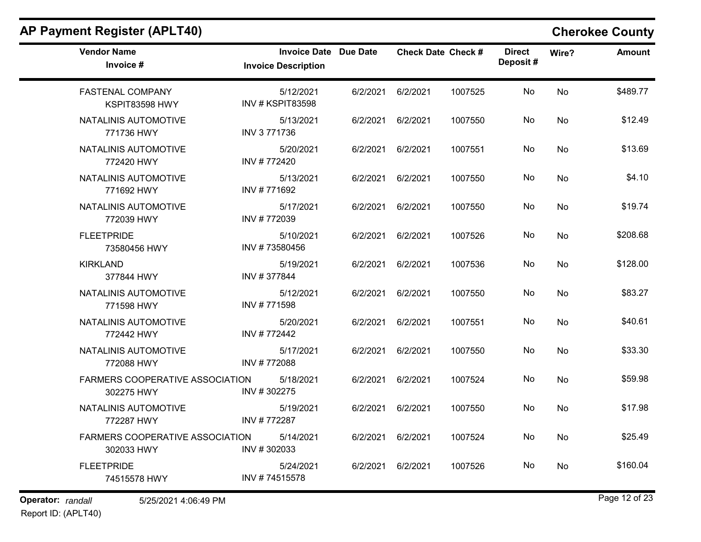$\overline{\phantom{a}}$ 

| <b>Vendor Name</b><br>Invoice #               | <b>Invoice Date Due Date</b><br><b>Invoice Description</b> |                   | <b>Check Date Check #</b> |         | <b>Direct</b><br>Deposit# | Wire?     | <b>Amount</b> |
|-----------------------------------------------|------------------------------------------------------------|-------------------|---------------------------|---------|---------------------------|-----------|---------------|
| <b>FASTENAL COMPANY</b><br>KSPIT83598 HWY     | 5/12/2021<br><b>INV # KSPIT83598</b>                       | 6/2/2021          | 6/2/2021                  | 1007525 | No                        | No        | \$489.77      |
| NATALINIS AUTOMOTIVE<br>771736 HWY            | 5/13/2021<br>INV 3 771736                                  | 6/2/2021          | 6/2/2021                  | 1007550 | No                        | No        | \$12.49       |
| NATALINIS AUTOMOTIVE<br>772420 HWY            | 5/20/2021<br>INV #772420                                   | 6/2/2021 6/2/2021 |                           | 1007551 | No                        | No        | \$13.69       |
| NATALINIS AUTOMOTIVE<br>771692 HWY            | 5/13/2021<br>INV #771692                                   | 6/2/2021          | 6/2/2021                  | 1007550 | No                        | No        | \$4.10        |
| NATALINIS AUTOMOTIVE<br>772039 HWY            | 5/17/2021<br>INV #772039                                   | 6/2/2021          | 6/2/2021                  | 1007550 | No                        | No        | \$19.74       |
| <b>FLEETPRIDE</b><br>73580456 HWY             | 5/10/2021<br>INV #73580456                                 | 6/2/2021          | 6/2/2021                  | 1007526 | No                        | No        | \$208.68      |
| <b>KIRKLAND</b><br>377844 HWY                 | 5/19/2021<br>INV #377844                                   | 6/2/2021          | 6/2/2021                  | 1007536 | No                        | <b>No</b> | \$128.00      |
| NATALINIS AUTOMOTIVE<br>771598 HWY            | 5/12/2021<br>INV #771598                                   | 6/2/2021          | 6/2/2021                  | 1007550 | No                        | No        | \$83.27       |
| NATALINIS AUTOMOTIVE<br>772442 HWY            | 5/20/2021<br>INV #772442                                   | 6/2/2021          | 6/2/2021                  | 1007551 | No                        | <b>No</b> | \$40.61       |
| NATALINIS AUTOMOTIVE<br>772088 HWY            | 5/17/2021<br>INV #772088                                   | 6/2/2021          | 6/2/2021                  | 1007550 | No                        | No        | \$33.30       |
| FARMERS COOPERATIVE ASSOCIATION<br>302275 HWY | 5/18/2021<br>INV #302275                                   | 6/2/2021          | 6/2/2021                  | 1007524 | No                        | No        | \$59.98       |
| NATALINIS AUTOMOTIVE<br>772287 HWY            | 5/19/2021<br>INV #772287                                   | 6/2/2021          | 6/2/2021                  | 1007550 | No                        | No        | \$17.98       |
| FARMERS COOPERATIVE ASSOCIATION<br>302033 HWY | 5/14/2021<br>INV #302033                                   | 6/2/2021          | 6/2/2021                  | 1007524 | No                        | No        | \$25.49       |
| <b>FLEETPRIDE</b><br>74515578 HWY             | 5/24/2021<br>INV #74515578                                 | 6/2/2021          | 6/2/2021                  | 1007526 | No                        | No        | \$160.04      |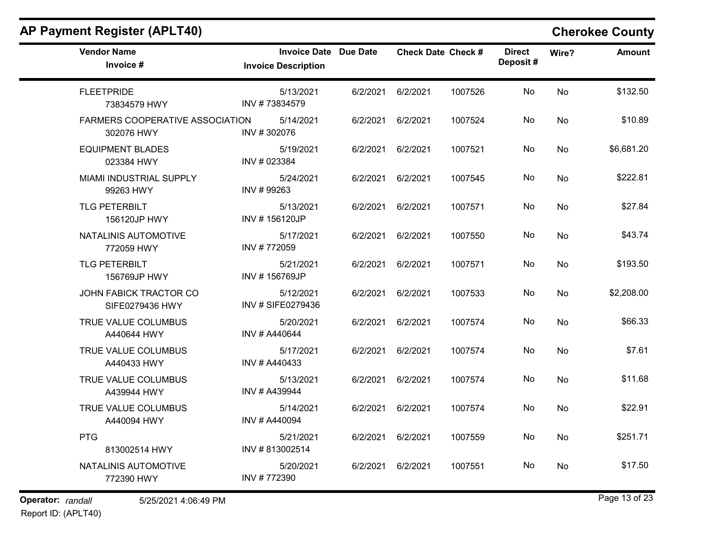| <b>Vendor Name</b><br>Invoice #                      | <b>Invoice Date Due Date</b><br><b>Invoice Description</b> |                   | <b>Check Date Check #</b> |         | <b>Direct</b><br>Deposit# | Wire? | <b>Amount</b> |
|------------------------------------------------------|------------------------------------------------------------|-------------------|---------------------------|---------|---------------------------|-------|---------------|
| <b>FLEETPRIDE</b><br>73834579 HWY                    | 5/13/2021<br>INV #73834579                                 | 6/2/2021          | 6/2/2021                  | 1007526 | No                        | No    | \$132.50      |
| <b>FARMERS COOPERATIVE ASSOCIATION</b><br>302076 HWY | 5/14/2021<br>INV #302076                                   | 6/2/2021          | 6/2/2021                  | 1007524 | No                        | No    | \$10.89       |
| <b>EQUIPMENT BLADES</b><br>023384 HWY                | 5/19/2021<br>INV # 023384                                  | 6/2/2021 6/2/2021 |                           | 1007521 | No                        | No    | \$6,681.20    |
| MIAMI INDUSTRIAL SUPPLY<br>99263 HWY                 | 5/24/2021<br>INV #99263                                    | 6/2/2021          | 6/2/2021                  | 1007545 | No                        | No    | \$222.81      |
| <b>TLG PETERBILT</b><br>156120JP HWY                 | 5/13/2021<br>INV #156120JP                                 | 6/2/2021          | 6/2/2021                  | 1007571 | No                        | No    | \$27.84       |
| NATALINIS AUTOMOTIVE<br>772059 HWY                   | 5/17/2021<br>INV #772059                                   | 6/2/2021          | 6/2/2021                  | 1007550 | No                        | No    | \$43.74       |
| <b>TLG PETERBILT</b><br>156769JP HWY                 | 5/21/2021<br>INV #156769JP                                 | 6/2/2021          | 6/2/2021                  | 1007571 | No                        | No    | \$193.50      |
| JOHN FABICK TRACTOR CO<br>SIFE0279436 HWY            | 5/12/2021<br>INV # SIFE0279436                             | 6/2/2021          | 6/2/2021                  | 1007533 | No                        | No    | \$2,208.00    |
| TRUE VALUE COLUMBUS<br>A440644 HWY                   | 5/20/2021<br>INV # A440644                                 | 6/2/2021          | 6/2/2021                  | 1007574 | No                        | No    | \$66.33       |
| TRUE VALUE COLUMBUS<br>A440433 HWY                   | 5/17/2021<br>INV # A440433                                 | 6/2/2021          | 6/2/2021                  | 1007574 | No                        | No    | \$7.61        |
| TRUE VALUE COLUMBUS<br>A439944 HWY                   | 5/13/2021<br>INV # A439944                                 | 6/2/2021          | 6/2/2021                  | 1007574 | No                        | No    | \$11.68       |
| TRUE VALUE COLUMBUS<br>A440094 HWY                   | 5/14/2021<br>INV # A440094                                 | 6/2/2021 6/2/2021 |                           | 1007574 | No                        | No    | \$22.91       |
| <b>PTG</b><br>813002514 HWY                          | 5/21/2021<br>INV #813002514                                | 6/2/2021          | 6/2/2021                  | 1007559 | No                        | No    | \$251.71      |
| NATALINIS AUTOMOTIVE<br>772390 HWY                   | 5/20/2021<br>INV #772390                                   | 6/2/2021 6/2/2021 |                           | 1007551 | No                        | No    | \$17.50       |

**Operator:** randall 5/25/2021 4:06:49 PM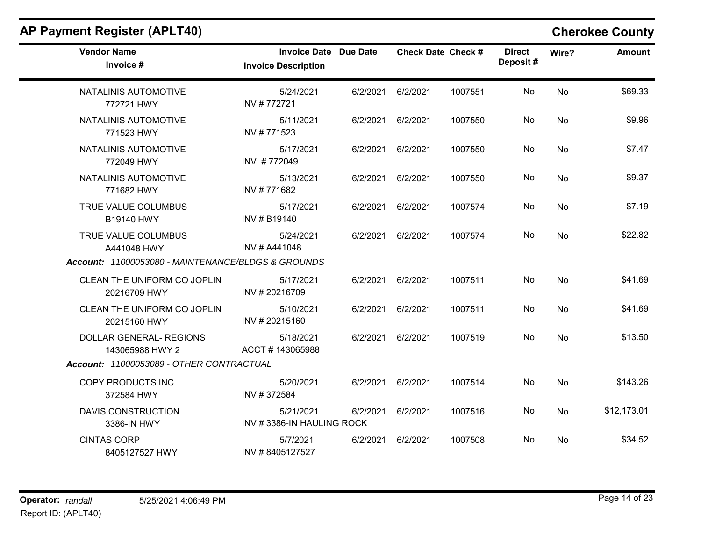| <b>Vendor Name</b><br>Invoice #                    | <b>Invoice Date Due Date</b><br><b>Invoice Description</b> |          | <b>Check Date Check #</b> |         | <b>Direct</b><br>Deposit# | Wire?     | <b>Amount</b> |
|----------------------------------------------------|------------------------------------------------------------|----------|---------------------------|---------|---------------------------|-----------|---------------|
| NATALINIS AUTOMOTIVE<br>772721 HWY                 | 5/24/2021<br>INV #772721                                   | 6/2/2021 | 6/2/2021                  | 1007551 | No                        | No        | \$69.33       |
| NATALINIS AUTOMOTIVE<br>771523 HWY                 | 5/11/2021<br>INV #771523                                   |          | 6/2/2021 6/2/2021         | 1007550 | No                        | No.       | \$9.96        |
| NATALINIS AUTOMOTIVE<br>772049 HWY                 | 5/17/2021<br>INV #772049                                   | 6/2/2021 | 6/2/2021                  | 1007550 | No                        | No        | \$7.47        |
| NATALINIS AUTOMOTIVE<br>771682 HWY                 | 5/13/2021<br>INV #771682                                   | 6/2/2021 | 6/2/2021                  | 1007550 | No                        | No        | \$9.37        |
| TRUE VALUE COLUMBUS<br>B19140 HWY                  | 5/17/2021<br>INV # B19140                                  | 6/2/2021 | 6/2/2021                  | 1007574 | No                        | No        | \$7.19        |
| TRUE VALUE COLUMBUS<br>A441048 HWY                 | 5/24/2021<br>INV # A441048                                 | 6/2/2021 | 6/2/2021                  | 1007574 | No                        | No        | \$22.82       |
| Account: 11000053080 - MAINTENANCE/BLDGS & GROUNDS |                                                            |          |                           |         |                           |           |               |
| CLEAN THE UNIFORM CO JOPLIN<br>20216709 HWY        | 5/17/2021<br>INV #20216709                                 |          | 6/2/2021 6/2/2021         | 1007511 | No                        | No        | \$41.69       |
| CLEAN THE UNIFORM CO JOPLIN<br>20215160 HWY        | 5/10/2021<br>INV #20215160                                 | 6/2/2021 | 6/2/2021                  | 1007511 | No.                       | <b>No</b> | \$41.69       |
| <b>DOLLAR GENERAL- REGIONS</b><br>143065988 HWY 2  | 5/18/2021<br>ACCT # 143065988                              | 6/2/2021 | 6/2/2021                  | 1007519 | No.                       | <b>No</b> | \$13.50       |
| Account: 11000053089 - OTHER CONTRACTUAL           |                                                            |          |                           |         |                           |           |               |
| COPY PRODUCTS INC<br>372584 HWY                    | 5/20/2021<br>INV #372584                                   | 6/2/2021 | 6/2/2021                  | 1007514 | No                        | No        | \$143.26      |
| <b>DAVIS CONSTRUCTION</b><br>3386-IN HWY           | 5/21/2021<br>INV #3386-IN HAULING ROCK                     | 6/2/2021 | 6/2/2021                  | 1007516 | No                        | <b>No</b> | \$12,173.01   |
| <b>CINTAS CORP</b><br>8405127527 HWY               | 5/7/2021<br>INV #8405127527                                | 6/2/2021 | 6/2/2021                  | 1007508 | No.                       | No        | \$34.52       |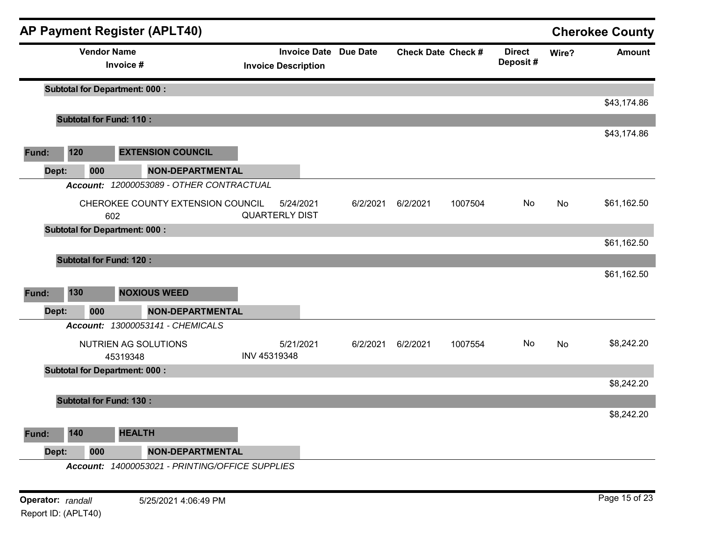|       |       |                    | <b>AP Payment Register (APLT40)</b>             |              |                                                            |          |                           |         |                           |       | <b>Cherokee County</b> |
|-------|-------|--------------------|-------------------------------------------------|--------------|------------------------------------------------------------|----------|---------------------------|---------|---------------------------|-------|------------------------|
|       |       | <b>Vendor Name</b> | Invoice #                                       |              | <b>Invoice Date Due Date</b><br><b>Invoice Description</b> |          | <b>Check Date Check #</b> |         | <b>Direct</b><br>Deposit# | Wire? | <b>Amount</b>          |
|       |       |                    | <b>Subtotal for Department: 000:</b>            |              |                                                            |          |                           |         |                           |       |                        |
|       |       |                    | <b>Subtotal for Fund: 110:</b>                  |              |                                                            |          |                           |         |                           |       | \$43,174.86            |
|       |       |                    |                                                 |              |                                                            |          |                           |         |                           |       | \$43,174.86            |
| Fund: |       | 120                | <b>EXTENSION COUNCIL</b>                        |              |                                                            |          |                           |         |                           |       |                        |
|       | Dept: | 000                | <b>NON-DEPARTMENTAL</b>                         |              |                                                            |          |                           |         |                           |       |                        |
|       |       |                    | Account: 12000053089 - OTHER CONTRACTUAL        |              |                                                            |          |                           |         |                           |       |                        |
|       |       |                    | CHEROKEE COUNTY EXTENSION COUNCIL<br>602        |              | 5/24/2021<br><b>QUARTERLY DIST</b>                         | 6/2/2021 | 6/2/2021                  | 1007504 | No                        | No    | \$61,162.50            |
|       |       |                    | <b>Subtotal for Department: 000:</b>            |              |                                                            |          |                           |         |                           |       |                        |
|       |       |                    |                                                 |              |                                                            |          |                           |         |                           |       | \$61,162.50            |
|       |       |                    | <b>Subtotal for Fund: 120:</b>                  |              |                                                            |          |                           |         |                           |       |                        |
| Fund: |       | 130                | <b>NOXIOUS WEED</b>                             |              |                                                            |          |                           |         |                           |       | \$61,162.50            |
|       | Dept: | 000                | <b>NON-DEPARTMENTAL</b>                         |              |                                                            |          |                           |         |                           |       |                        |
|       |       |                    | Account: 13000053141 - CHEMICALS                |              |                                                            |          |                           |         |                           |       |                        |
|       |       |                    | NUTRIEN AG SOLUTIONS<br>45319348                | INV 45319348 | 5/21/2021                                                  | 6/2/2021 | 6/2/2021                  | 1007554 | No.                       | No    | \$8,242.20             |
|       |       |                    | <b>Subtotal for Department: 000:</b>            |              |                                                            |          |                           |         |                           |       |                        |
|       |       |                    |                                                 |              |                                                            |          |                           |         |                           |       | \$8,242.20             |
|       |       |                    | <b>Subtotal for Fund: 130:</b>                  |              |                                                            |          |                           |         |                           |       |                        |
|       |       |                    |                                                 |              |                                                            |          |                           |         |                           |       | \$8,242.20             |
| Fund: |       | 140                | <b>HEALTH</b>                                   |              |                                                            |          |                           |         |                           |       |                        |
|       | Dept: | 000                | <b>NON-DEPARTMENTAL</b>                         |              |                                                            |          |                           |         |                           |       |                        |
|       |       |                    | Account: 14000053021 - PRINTING/OFFICE SUPPLIES |              |                                                            |          |                           |         |                           |       |                        |
|       |       |                    |                                                 |              |                                                            |          |                           |         |                           |       |                        |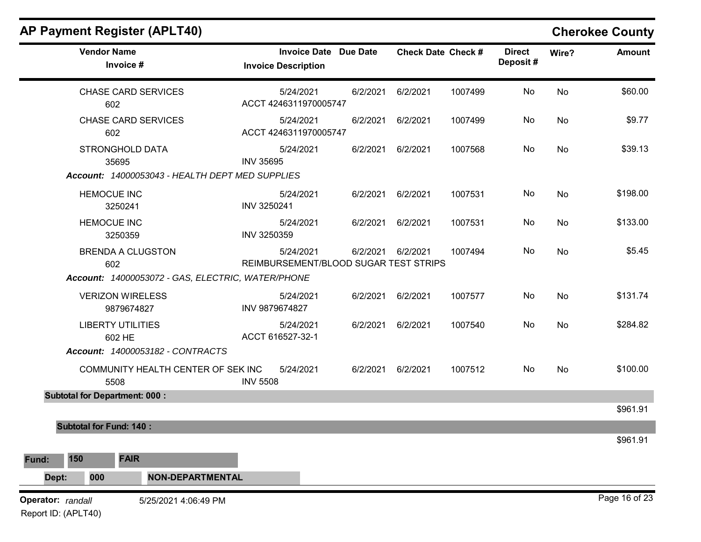| <b>AP Payment Register (APLT40)</b>               |                                                            |          |          |                           |                           |       | <b>Cherokee County</b> |
|---------------------------------------------------|------------------------------------------------------------|----------|----------|---------------------------|---------------------------|-------|------------------------|
| <b>Vendor Name</b><br>Invoice #                   | <b>Invoice Date Due Date</b><br><b>Invoice Description</b> |          |          | <b>Check Date Check #</b> | <b>Direct</b><br>Deposit# | Wire? | <b>Amount</b>          |
| <b>CHASE CARD SERVICES</b><br>602                 | 5/24/2021<br>ACCT 4246311970005747                         | 6/2/2021 | 6/2/2021 | 1007499                   | No                        | No    | \$60.00                |
| <b>CHASE CARD SERVICES</b><br>602                 | 5/24/2021<br>ACCT 4246311970005747                         | 6/2/2021 | 6/2/2021 | 1007499                   | No                        | No    | \$9.77                 |
| <b>STRONGHOLD DATA</b><br>35695                   | 5/24/2021<br><b>INV 35695</b>                              | 6/2/2021 | 6/2/2021 | 1007568                   | No                        | No    | \$39.13                |
| Account: 14000053043 - HEALTH DEPT MED SUPPLIES   |                                                            |          |          |                           |                           |       |                        |
| <b>HEMOCUE INC</b><br>3250241                     | 5/24/2021<br>INV 3250241                                   | 6/2/2021 | 6/2/2021 | 1007531                   | No                        | No    | \$198.00               |
| <b>HEMOCUE INC</b><br>3250359                     | 5/24/2021<br>INV 3250359                                   | 6/2/2021 | 6/2/2021 | 1007531                   | No                        | No    | \$133.00               |
| <b>BRENDA A CLUGSTON</b><br>602                   | 5/24/2021<br>REIMBURSEMENT/BLOOD SUGAR TEST STRIPS         | 6/2/2021 | 6/2/2021 | 1007494                   | No                        | No    | \$5.45                 |
| Account: 14000053072 - GAS, ELECTRIC, WATER/PHONE |                                                            |          |          |                           |                           |       |                        |
| <b>VERIZON WIRELESS</b><br>9879674827             | 5/24/2021<br>INV 9879674827                                | 6/2/2021 | 6/2/2021 | 1007577                   | No                        | No    | \$131.74               |
| <b>LIBERTY UTILITIES</b><br>602 HE                | 5/24/2021<br>ACCT 616527-32-1                              | 6/2/2021 | 6/2/2021 | 1007540                   | No                        | No    | \$284.82               |
| Account: 14000053182 - CONTRACTS                  |                                                            |          |          |                           |                           |       |                        |
| COMMUNITY HEALTH CENTER OF SEK INC<br>5508        | 5/24/2021<br><b>INV 5508</b>                               | 6/2/2021 | 6/2/2021 | 1007512                   | No                        | No    | \$100.00               |
| <b>Subtotal for Department: 000:</b>              |                                                            |          |          |                           |                           |       |                        |
| <b>Subtotal for Fund: 140:</b>                    |                                                            |          |          |                           |                           |       | \$961.91               |
|                                                   |                                                            |          |          |                           |                           |       | \$961.91               |
| <b>FAIR</b><br>150<br>Fund:                       |                                                            |          |          |                           |                           |       |                        |
| <b>NON-DEPARTMENTAL</b><br>000<br>Dept:           |                                                            |          |          |                           |                           |       |                        |
| Operator: randall<br>5/25/2021 4:06:49 PM         |                                                            |          |          |                           |                           |       | Page 16 of 23          |

Report ID: (APLT40)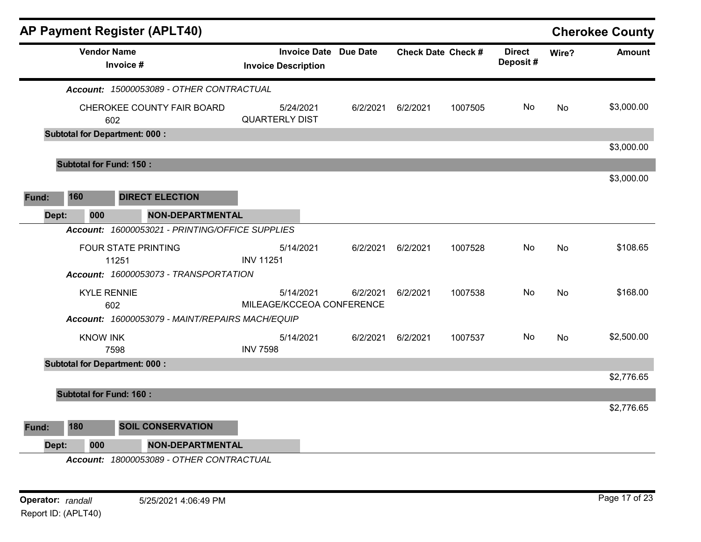|       |                                | AP Payment Register (APLT40)                    |                  |                                                            |          |          |                           |                           |       | <b>Cherokee County</b> |
|-------|--------------------------------|-------------------------------------------------|------------------|------------------------------------------------------------|----------|----------|---------------------------|---------------------------|-------|------------------------|
|       | <b>Vendor Name</b>             | Invoice #                                       |                  | <b>Invoice Date Due Date</b><br><b>Invoice Description</b> |          |          | <b>Check Date Check #</b> | <b>Direct</b><br>Deposit# | Wire? | Amount                 |
|       |                                | Account: 15000053089 - OTHER CONTRACTUAL        |                  |                                                            |          |          |                           |                           |       |                        |
|       |                                | CHEROKEE COUNTY FAIR BOARD<br>602               |                  | 5/24/2021<br><b>QUARTERLY DIST</b>                         | 6/2/2021 | 6/2/2021 | 1007505                   | No.                       | No    | \$3,000.00             |
|       |                                | <b>Subtotal for Department: 000:</b>            |                  |                                                            |          |          |                           |                           |       | \$3,000.00             |
|       | <b>Subtotal for Fund: 150:</b> |                                                 |                  |                                                            |          |          |                           |                           |       |                        |
|       |                                |                                                 |                  |                                                            |          |          |                           |                           |       | \$3,000.00             |
| Fund: | 160                            | <b>DIRECT ELECTION</b>                          |                  |                                                            |          |          |                           |                           |       |                        |
| Dept: | 000                            | <b>NON-DEPARTMENTAL</b>                         |                  |                                                            |          |          |                           |                           |       |                        |
|       |                                | Account: 16000053021 - PRINTING/OFFICE SUPPLIES |                  |                                                            |          |          |                           |                           |       |                        |
|       |                                | <b>FOUR STATE PRINTING</b>                      |                  | 5/14/2021                                                  | 6/2/2021 | 6/2/2021 | 1007528                   | No.                       | No    | \$108.65               |
|       |                                | 11251                                           | <b>INV 11251</b> |                                                            |          |          |                           |                           |       |                        |
|       |                                | Account: 16000053073 - TRANSPORTATION           |                  |                                                            |          |          |                           |                           |       |                        |
|       | <b>KYLE RENNIE</b>             |                                                 |                  | 5/14/2021                                                  | 6/2/2021 | 6/2/2021 | 1007538                   | No                        | No    | \$168.00               |
|       |                                | 602                                             |                  | MILEAGE/KCCEOA CONFERENCE                                  |          |          |                           |                           |       |                        |
|       |                                | Account: 16000053079 - MAINT/REPAIRS MACH/EQUIP |                  |                                                            |          |          |                           |                           |       |                        |
|       | <b>KNOW INK</b>                |                                                 |                  | 5/14/2021                                                  | 6/2/2021 | 6/2/2021 | 1007537                   | No                        | No    | \$2,500.00             |
|       |                                | 7598                                            | <b>INV 7598</b>  |                                                            |          |          |                           |                           |       |                        |
|       |                                | <b>Subtotal for Department: 000:</b>            |                  |                                                            |          |          |                           |                           |       | \$2,776.65             |
|       |                                |                                                 |                  |                                                            |          |          |                           |                           |       |                        |
|       | <b>Subtotal for Fund: 160:</b> |                                                 |                  |                                                            |          |          |                           |                           |       | \$2,776.65             |
|       | 180                            |                                                 |                  |                                                            |          |          |                           |                           |       |                        |
| Fund: |                                | <b>SOIL CONSERVATION</b>                        |                  |                                                            |          |          |                           |                           |       |                        |
| Dept: | 000                            | NON-DEPARTMENTAL                                |                  |                                                            |          |          |                           |                           |       |                        |
|       |                                | Account: 18000053089 - OTHER CONTRACTUAL        |                  |                                                            |          |          |                           |                           |       |                        |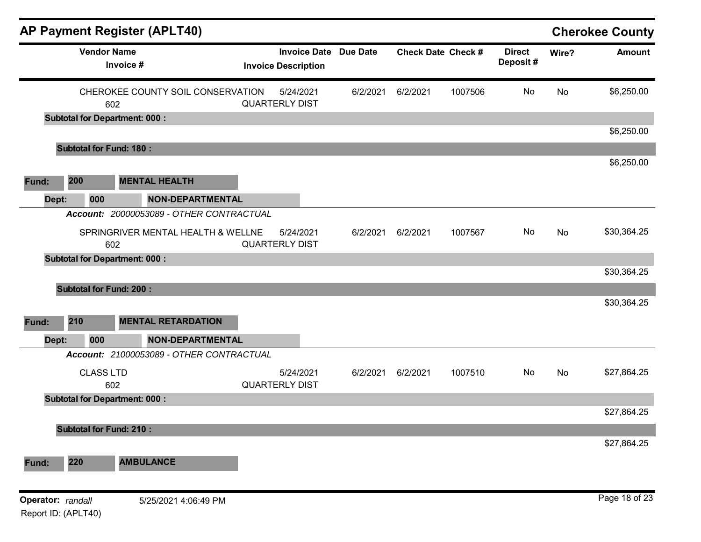|                                          |     |                    |                                      | AP Payment Register (APLT40)             |                                                            |          |          |                           |                           |       | <b>Cherokee County</b> |
|------------------------------------------|-----|--------------------|--------------------------------------|------------------------------------------|------------------------------------------------------------|----------|----------|---------------------------|---------------------------|-------|------------------------|
|                                          |     | <b>Vendor Name</b> | Invoice #                            |                                          | <b>Invoice Date Due Date</b><br><b>Invoice Description</b> |          |          | <b>Check Date Check #</b> | <b>Direct</b><br>Deposit# | Wire? | <b>Amount</b>          |
|                                          |     |                    | 602                                  | CHEROKEE COUNTY SOIL CONSERVATION        | 5/24/2021<br><b>QUARTERLY DIST</b>                         | 6/2/2021 | 6/2/2021 | 1007506                   | No                        | No    | \$6,250.00             |
|                                          |     |                    | <b>Subtotal for Department: 000:</b> |                                          |                                                            |          |          |                           |                           |       |                        |
|                                          |     |                    | <b>Subtotal for Fund: 180:</b>       |                                          |                                                            |          |          |                           |                           |       | \$6,250.00             |
|                                          |     |                    |                                      |                                          |                                                            |          |          |                           |                           |       | \$6,250.00             |
| Fund:                                    | 200 |                    |                                      | <b>MENTAL HEALTH</b>                     |                                                            |          |          |                           |                           |       |                        |
| Dept:                                    |     | 000                |                                      | <b>NON-DEPARTMENTAL</b>                  |                                                            |          |          |                           |                           |       |                        |
|                                          |     |                    |                                      | Account: 20000053089 - OTHER CONTRACTUAL |                                                            |          |          |                           |                           |       |                        |
|                                          |     |                    | 602                                  | SPRINGRIVER MENTAL HEALTH & WELLNE       | 5/24/2021<br><b>QUARTERLY DIST</b>                         | 6/2/2021 | 6/2/2021 | 1007567                   | No                        | No    | \$30,364.25            |
|                                          |     |                    | <b>Subtotal for Department: 000:</b> |                                          |                                                            |          |          |                           |                           |       |                        |
|                                          |     |                    |                                      |                                          |                                                            |          |          |                           |                           |       | \$30,364.25            |
|                                          |     |                    | <b>Subtotal for Fund: 200:</b>       |                                          |                                                            |          |          |                           |                           |       |                        |
|                                          |     |                    |                                      |                                          |                                                            |          |          |                           |                           |       | \$30,364.25            |
| Fund:                                    | 210 |                    |                                      | <b>MENTAL RETARDATION</b>                |                                                            |          |          |                           |                           |       |                        |
| Dept:                                    |     | 000                |                                      | <b>NON-DEPARTMENTAL</b>                  |                                                            |          |          |                           |                           |       |                        |
|                                          |     |                    |                                      | Account: 21000053089 - OTHER CONTRACTUAL |                                                            |          |          |                           |                           |       |                        |
|                                          |     | <b>CLASS LTD</b>   | 602                                  |                                          | 5/24/2021<br><b>QUARTERLY DIST</b>                         | 6/2/2021 | 6/2/2021 | 1007510                   | No                        | No    | \$27,864.25            |
|                                          |     |                    | <b>Subtotal for Department: 000:</b> |                                          |                                                            |          |          |                           |                           |       |                        |
|                                          |     |                    |                                      |                                          |                                                            |          |          |                           |                           |       | \$27,864.25            |
|                                          |     |                    | <b>Subtotal for Fund: 210:</b>       |                                          |                                                            |          |          |                           |                           |       | \$27,864.25            |
| Fund:                                    | 220 |                    |                                      | <b>AMBULANCE</b>                         |                                                            |          |          |                           |                           |       |                        |
|                                          |     |                    |                                      |                                          |                                                            |          |          |                           |                           |       |                        |
| Operator: randall<br>Report ID: (APLT40) |     |                    |                                      | 5/25/2021 4:06:49 PM                     |                                                            |          |          |                           |                           |       | Page 18 of 23          |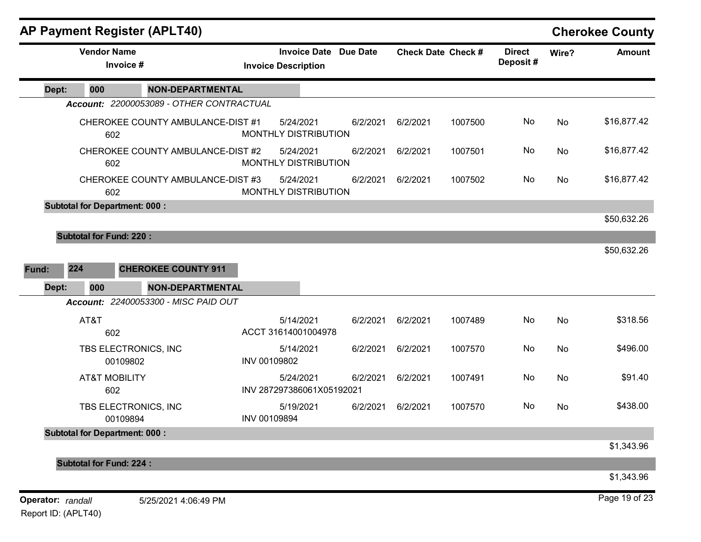|                   | <b>AP Payment Register (APLT40)</b>  |                                          |              |                                                            |          |                           |         |                           |       | <b>Cherokee County</b> |
|-------------------|--------------------------------------|------------------------------------------|--------------|------------------------------------------------------------|----------|---------------------------|---------|---------------------------|-------|------------------------|
|                   | <b>Vendor Name</b><br>Invoice #      |                                          |              | <b>Invoice Date Due Date</b><br><b>Invoice Description</b> |          | <b>Check Date Check #</b> |         | <b>Direct</b><br>Deposit# | Wire? | <b>Amount</b>          |
| Dept:             | 000                                  | <b>NON-DEPARTMENTAL</b>                  |              |                                                            |          |                           |         |                           |       |                        |
|                   |                                      | Account: 22000053089 - OTHER CONTRACTUAL |              |                                                            |          |                           |         |                           |       |                        |
|                   | 602                                  | CHEROKEE COUNTY AMBULANCE-DIST #1        |              | 5/24/2021<br>MONTHLY DISTRIBUTION                          | 6/2/2021 | 6/2/2021                  | 1007500 | No                        | No    | \$16,877.42            |
|                   | 602                                  | CHEROKEE COUNTY AMBULANCE-DIST #2        |              | 5/24/2021<br>MONTHLY DISTRIBUTION                          | 6/2/2021 | 6/2/2021                  | 1007501 | No                        | No    | \$16,877.42            |
|                   | 602                                  | CHEROKEE COUNTY AMBULANCE-DIST #3        |              | 5/24/2021<br>MONTHLY DISTRIBUTION                          | 6/2/2021 | 6/2/2021                  | 1007502 | No                        | No    | \$16,877.42            |
|                   | <b>Subtotal for Department: 000:</b> |                                          |              |                                                            |          |                           |         |                           |       |                        |
|                   |                                      |                                          |              |                                                            |          |                           |         |                           |       | \$50,632.26            |
|                   | <b>Subtotal for Fund: 220:</b>       |                                          |              |                                                            |          |                           |         |                           |       |                        |
|                   |                                      |                                          |              |                                                            |          |                           |         |                           |       | \$50,632.26            |
| Fund:             | 224                                  | <b>CHEROKEE COUNTY 911</b>               |              |                                                            |          |                           |         |                           |       |                        |
| Dept:             | 000                                  | <b>NON-DEPARTMENTAL</b>                  |              |                                                            |          |                           |         |                           |       |                        |
|                   |                                      | Account: 22400053300 - MISC PAID OUT     |              |                                                            |          |                           |         |                           |       |                        |
|                   | AT&T<br>602                          |                                          |              | 5/14/2021<br>ACCT 31614001004978                           | 6/2/2021 | 6/2/2021                  | 1007489 | No                        | No    | \$318.56               |
|                   | TBS ELECTRONICS, INC<br>00109802     |                                          | INV 00109802 | 5/14/2021                                                  | 6/2/2021 | 6/2/2021                  | 1007570 | No                        | No    | \$496.00               |
|                   | <b>AT&amp;T MOBILITY</b><br>602      |                                          |              | 5/24/2021<br>INV 287297386061X05192021                     | 6/2/2021 | 6/2/2021                  | 1007491 | No                        | No    | \$91.40                |
|                   | TBS ELECTRONICS, INC<br>00109894     |                                          | INV 00109894 | 5/19/2021                                                  | 6/2/2021 | 6/2/2021                  | 1007570 | No                        | No    | \$438.00               |
|                   | <b>Subtotal for Department: 000:</b> |                                          |              |                                                            |          |                           |         |                           |       |                        |
|                   |                                      |                                          |              |                                                            |          |                           |         |                           |       | \$1,343.96             |
|                   | <b>Subtotal for Fund: 224:</b>       |                                          |              |                                                            |          |                           |         |                           |       |                        |
|                   |                                      |                                          |              |                                                            |          |                           |         |                           |       | \$1,343.96             |
| Operator: randall |                                      | 5/25/2021 4:06:49 PM                     |              |                                                            |          |                           |         |                           |       | Page 19 of 23          |

Report ID: (APLT40)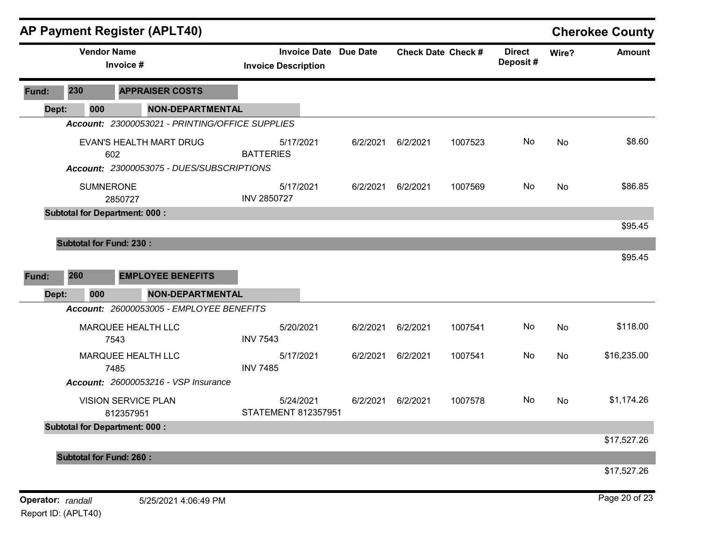|                   |                                | <b>AP Payment Register (APLT40)</b>             |                                                            |          |          |                           |                           |       | <b>Cherokee County</b> |
|-------------------|--------------------------------|-------------------------------------------------|------------------------------------------------------------|----------|----------|---------------------------|---------------------------|-------|------------------------|
|                   | <b>Vendor Name</b>             | Invoice #                                       | <b>Invoice Date Due Date</b><br><b>Invoice Description</b> |          |          | <b>Check Date Check #</b> | <b>Direct</b><br>Deposit# | Wire? | <b>Amount</b>          |
| Fund:             | 230                            | <b>APPRAISER COSTS</b>                          |                                                            |          |          |                           |                           |       |                        |
| Dept:             | 000                            | <b>NON-DEPARTMENTAL</b>                         |                                                            |          |          |                           |                           |       |                        |
|                   |                                | Account: 23000053021 - PRINTING/OFFICE SUPPLIES |                                                            |          |          |                           |                           |       |                        |
|                   |                                | EVAN'S HEALTH MART DRUG<br>602                  | 5/17/2021<br><b>BATTERIES</b>                              | 6/2/2021 | 6/2/2021 | 1007523                   | No                        | No    | \$8.60                 |
|                   |                                | Account: 23000053075 - DUES/SUBSCRIPTIONS       |                                                            |          |          |                           |                           |       |                        |
|                   | <b>SUMNERONE</b>               | 2850727                                         | 5/17/2021<br><b>INV 2850727</b>                            | 6/2/2021 | 6/2/2021 | 1007569                   | No                        | No    | \$86.85                |
|                   |                                | <b>Subtotal for Department: 000:</b>            |                                                            |          |          |                           |                           |       |                        |
|                   |                                |                                                 |                                                            |          |          |                           |                           |       | \$95.45                |
|                   | <b>Subtotal for Fund: 230:</b> |                                                 |                                                            |          |          |                           |                           |       |                        |
|                   |                                |                                                 |                                                            |          |          |                           |                           |       | \$95.45                |
| Fund:             | 260                            | <b>EMPLOYEE BENEFITS</b>                        |                                                            |          |          |                           |                           |       |                        |
| Dept:             | 000                            | <b>NON-DEPARTMENTAL</b>                         |                                                            |          |          |                           |                           |       |                        |
|                   |                                | Account: 26000053005 - EMPLOYEE BENEFITS        |                                                            |          |          |                           |                           |       |                        |
|                   |                                | MARQUEE HEALTH LLC<br>7543                      | 5/20/2021<br><b>INV 7543</b>                               | 6/2/2021 | 6/2/2021 | 1007541                   | No                        | No    | \$118.00               |
|                   |                                | MARQUEE HEALTH LLC<br>7485                      | 5/17/2021<br><b>INV 7485</b>                               | 6/2/2021 | 6/2/2021 | 1007541                   | No                        | No    | \$16,235.00            |
|                   |                                | <b>Account: 26000053216 - VSP Insurance</b>     |                                                            |          |          |                           |                           |       |                        |
|                   |                                | <b>VISION SERVICE PLAN</b><br>812357951         | 5/24/2021<br><b>STATEMENT 812357951</b>                    | 6/2/2021 | 6/2/2021 | 1007578                   | No                        | No    | \$1,174.26             |
|                   |                                | <b>Subtotal for Department: 000:</b>            |                                                            |          |          |                           |                           |       |                        |
|                   |                                |                                                 |                                                            |          |          |                           |                           |       | \$17,527.26            |
|                   | <b>Subtotal for Fund: 260:</b> |                                                 |                                                            |          |          |                           |                           |       |                        |
|                   |                                |                                                 |                                                            |          |          |                           |                           |       | \$17,527.26            |
| Operator: randall |                                | 5/25/2021 4:06:49 PM                            |                                                            |          |          |                           |                           |       | Page 20 of 23          |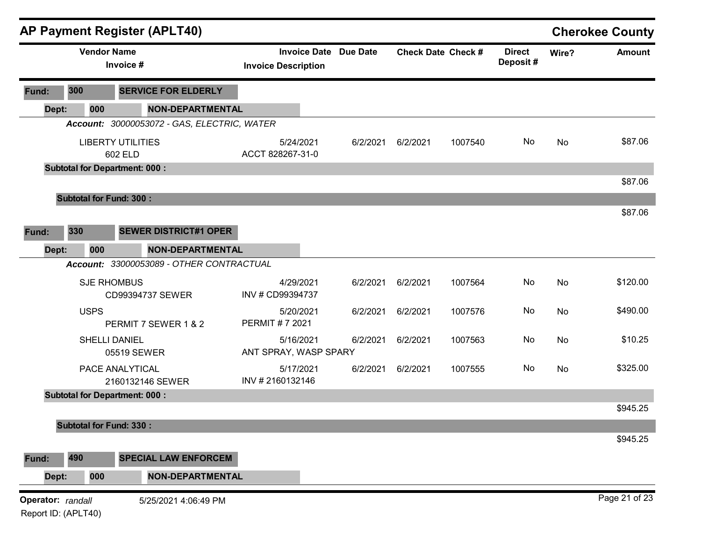|                   |                     | <b>AP Payment Register (APLT40)</b>         |                                                   |                 |          |                           |                           |       | <b>Cherokee County</b> |
|-------------------|---------------------|---------------------------------------------|---------------------------------------------------|-----------------|----------|---------------------------|---------------------------|-------|------------------------|
|                   |                     | <b>Vendor Name</b><br>Invoice #             | <b>Invoice Date</b><br><b>Invoice Description</b> | <b>Due Date</b> |          | <b>Check Date Check #</b> | <b>Direct</b><br>Deposit# | Wire? | <b>Amount</b>          |
| Fund:             | 300                 | <b>SERVICE FOR ELDERLY</b>                  |                                                   |                 |          |                           |                           |       |                        |
| Dept:             | 000                 | <b>NON-DEPARTMENTAL</b>                     |                                                   |                 |          |                           |                           |       |                        |
|                   |                     | Account: 30000053072 - GAS, ELECTRIC, WATER |                                                   |                 |          |                           |                           |       |                        |
|                   |                     | <b>LIBERTY UTILITIES</b><br>602 ELD         | 5/24/2021<br>ACCT 828267-31-0                     | 6/2/2021        | 6/2/2021 | 1007540                   | No                        | No    | \$87.06                |
|                   |                     | <b>Subtotal for Department: 000:</b>        |                                                   |                 |          |                           |                           |       |                        |
|                   |                     |                                             |                                                   |                 |          |                           |                           |       | \$87.06                |
|                   |                     | <b>Subtotal for Fund: 300:</b>              |                                                   |                 |          |                           |                           |       |                        |
|                   |                     |                                             |                                                   |                 |          |                           |                           |       | \$87.06                |
| Fund:             | 330                 | <b>SEWER DISTRICT#1 OPER</b>                |                                                   |                 |          |                           |                           |       |                        |
| Dept:             | 000                 | <b>NON-DEPARTMENTAL</b>                     |                                                   |                 |          |                           |                           |       |                        |
|                   |                     | Account: 33000053089 - OTHER CONTRACTUAL    |                                                   |                 |          |                           |                           |       |                        |
|                   |                     | <b>SJE RHOMBUS</b><br>CD99394737 SEWER      | 4/29/2021<br>INV # CD99394737                     | 6/2/2021        | 6/2/2021 | 1007564                   | No                        | No    | \$120.00               |
|                   | <b>USPS</b>         | PERMIT 7 SEWER 1 & 2                        | 5/20/2021<br>PERMIT #7 2021                       | 6/2/2021        | 6/2/2021 | 1007576                   | No                        | No    | \$490.00               |
|                   |                     | <b>SHELLI DANIEL</b><br>05519 SEWER         | 5/16/2021<br>ANT SPRAY, WASP SPARY                | 6/2/2021        | 6/2/2021 | 1007563                   | No                        | No    | \$10.25                |
|                   |                     | PACE ANALYTICAL<br>2160132146 SEWER         | 5/17/2021<br>INV #2160132146                      | 6/2/2021        | 6/2/2021 | 1007555                   | No                        | No    | \$325.00               |
|                   |                     | <b>Subtotal for Department: 000:</b>        |                                                   |                 |          |                           |                           |       | \$945.25               |
|                   |                     | <b>Subtotal for Fund: 330:</b>              |                                                   |                 |          |                           |                           |       |                        |
|                   |                     |                                             |                                                   |                 |          |                           |                           |       | \$945.25               |
| Fund:             | 490                 | <b>SPECIAL LAW ENFORCEM</b>                 |                                                   |                 |          |                           |                           |       |                        |
| Dept:             | 000                 | <b>NON-DEPARTMENTAL</b>                     |                                                   |                 |          |                           |                           |       |                        |
|                   |                     |                                             |                                                   |                 |          |                           |                           |       | Page 21 of 23          |
| Operator: randall | Report ID: (APLT40) | 5/25/2021 4:06:49 PM                        |                                                   |                 |          |                           |                           |       |                        |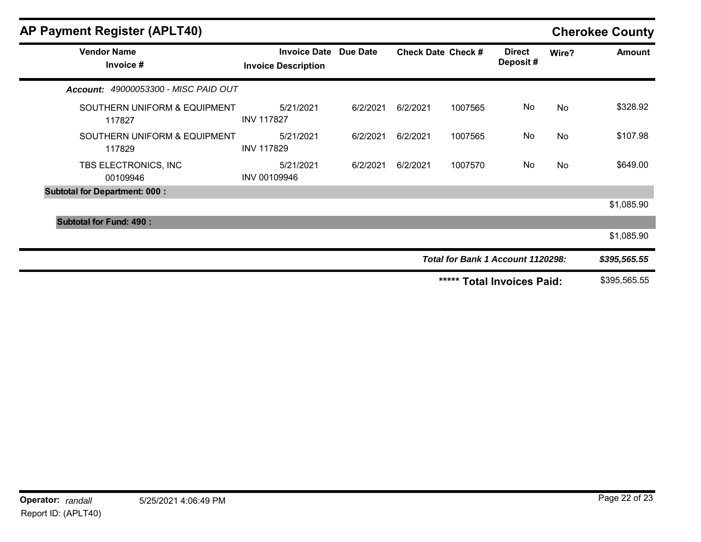| <b>AP Payment Register (APLT40)</b>    |                                                     |          |          |                           |                                   |       | <b>Cherokee County</b> |
|----------------------------------------|-----------------------------------------------------|----------|----------|---------------------------|-----------------------------------|-------|------------------------|
| <b>Vendor Name</b><br>Invoice #        | Invoice Date Due Date<br><b>Invoice Description</b> |          |          | <b>Check Date Check #</b> | <b>Direct</b><br>Deposit#         | Wire? | <b>Amount</b>          |
| Account: 49000053300 - MISC PAID OUT   |                                                     |          |          |                           |                                   |       |                        |
| SOUTHERN UNIFORM & EQUIPMENT<br>117827 | 5/21/2021<br><b>INV 117827</b>                      | 6/2/2021 | 6/2/2021 | 1007565                   | No                                | No    | \$328.92               |
| SOUTHERN UNIFORM & EQUIPMENT<br>117829 | 5/21/2021<br><b>INV 117829</b>                      | 6/2/2021 | 6/2/2021 | 1007565                   | No                                | No    | \$107.98               |
| TBS ELECTRONICS, INC<br>00109946       | 5/21/2021<br>INV 00109946                           | 6/2/2021 | 6/2/2021 | 1007570                   | No                                | No    | \$649.00               |
| <b>Subtotal for Department: 000:</b>   |                                                     |          |          |                           |                                   |       |                        |
|                                        |                                                     |          |          |                           |                                   |       | \$1,085.90             |
| <b>Subtotal for Fund: 490:</b>         |                                                     |          |          |                           |                                   |       |                        |
|                                        |                                                     |          |          |                           |                                   |       | \$1,085.90             |
|                                        |                                                     |          |          |                           | Total for Bank 1 Account 1120298: |       | \$395,565.55           |
|                                        |                                                     |          |          | *****                     | <b>Total Invoices Paid:</b>       |       | \$395,565.55           |